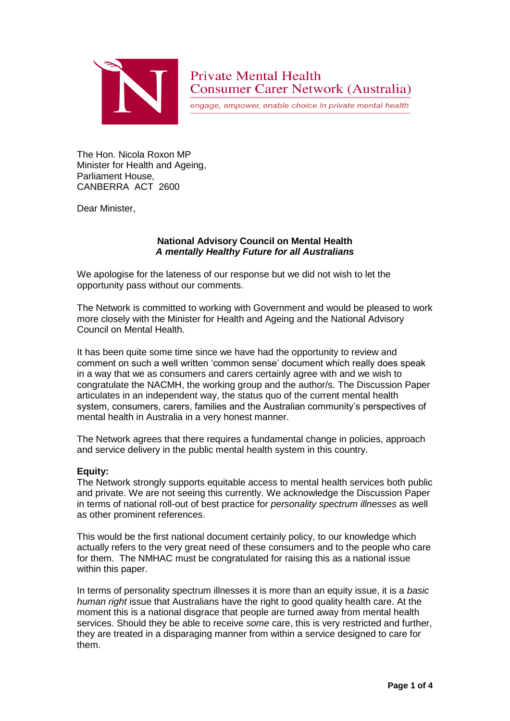

engage, empower, enable choice in private mental health

The Hon. Nicola Roxon MP Minister for Health and Ageing, Parliament House, CANBERRA ACT 2600

Dear Minister,

# **National Advisory Council on Mental Health** *A mentally Healthy Future for all Australians*

We apologise for the lateness of our response but we did not wish to let the opportunity pass without our comments.

The Network is committed to working with Government and would be pleased to work more closely with the Minister for Health and Ageing and the National Advisory Council on Mental Health.

It has been quite some time since we have had the opportunity to review and comment on such a well written 'common sense' document which really does speak in a way that we as consumers and carers certainly agree with and we wish to congratulate the NACMH, the working group and the author/s. The Discussion Paper articulates in an independent way, the status quo of the current mental health system, consumers, carers, families and the Australian community's perspectives of mental health in Australia in a very honest manner.

The Network agrees that there requires a fundamental change in policies, approach and service delivery in the public mental health system in this country.

# **Equity:**

The Network strongly supports equitable access to mental health services both public and private. We are not seeing this currently. We acknowledge the Discussion Paper in terms of national roll-out of best practice for *personality spectrum illnesses* as well as other prominent references.

This would be the first national document certainly policy, to our knowledge which actually refers to the very great need of these consumers and to the people who care for them. The NMHAC must be congratulated for raising this as a national issue within this paper.

In terms of personality spectrum illnesses it is more than an equity issue, it is a *basic human right* issue that Australians have the right to good quality health care. At the moment this is a national disgrace that people are turned away from mental health services. Should they be able to receive *some* care, this is very restricted and further, they are treated in a disparaging manner from within a service designed to care for them.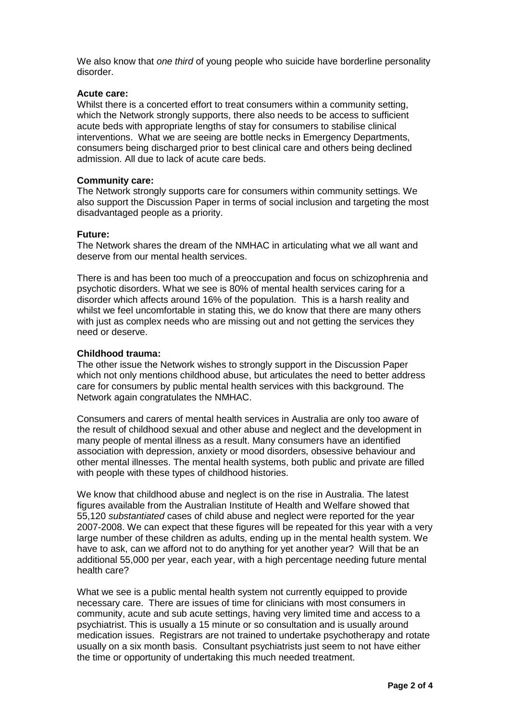We also know that *one third* of young people who suicide have borderline personality disorder.

### **Acute care:**

Whilst there is a concerted effort to treat consumers within a community setting, which the Network strongly supports, there also needs to be access to sufficient acute beds with appropriate lengths of stay for consumers to stabilise clinical interventions. What we are seeing are bottle necks in Emergency Departments, consumers being discharged prior to best clinical care and others being declined admission. All due to lack of acute care beds.

## **Community care:**

The Network strongly supports care for consumers within community settings. We also support the Discussion Paper in terms of social inclusion and targeting the most disadvantaged people as a priority.

## **Future:**

The Network shares the dream of the NMHAC in articulating what we all want and deserve from our mental health services.

There is and has been too much of a preoccupation and focus on schizophrenia and psychotic disorders. What we see is 80% of mental health services caring for a disorder which affects around 16% of the population. This is a harsh reality and whilst we feel uncomfortable in stating this, we do know that there are many others with just as complex needs who are missing out and not getting the services they need or deserve.

# **Childhood trauma:**

The other issue the Network wishes to strongly support in the Discussion Paper which not only mentions childhood abuse, but articulates the need to better address care for consumers by public mental health services with this background. The Network again congratulates the NMHAC.

Consumers and carers of mental health services in Australia are only too aware of the result of childhood sexual and other abuse and neglect and the development in many people of mental illness as a result. Many consumers have an identified association with depression, anxiety or mood disorders, obsessive behaviour and other mental illnesses. The mental health systems, both public and private are filled with people with these types of childhood histories.

We know that childhood abuse and neglect is on the rise in Australia. The latest figures available from the Australian Institute of Health and Welfare showed that 55,120 *substantiated* cases of child abuse and neglect were reported for the year 2007-2008. We can expect that these figures will be repeated for this year with a very large number of these children as adults, ending up in the mental health system. We have to ask, can we afford not to do anything for yet another year? Will that be an additional 55,000 per year, each year, with a high percentage needing future mental health care?

What we see is a public mental health system not currently equipped to provide necessary care. There are issues of time for clinicians with most consumers in community, acute and sub acute settings, having very limited time and access to a psychiatrist. This is usually a 15 minute or so consultation and is usually around medication issues. Registrars are not trained to undertake psychotherapy and rotate usually on a six month basis. Consultant psychiatrists just seem to not have either the time or opportunity of undertaking this much needed treatment.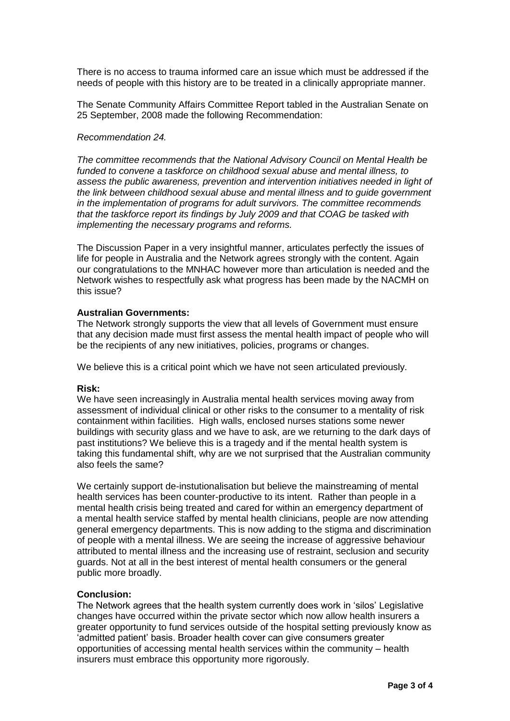There is no access to trauma informed care an issue which must be addressed if the needs of people with this history are to be treated in a clinically appropriate manner.

The Senate Community Affairs Committee Report tabled in the Australian Senate on 25 September, 2008 made the following Recommendation:

## *Recommendation 24.*

*The committee recommends that the National Advisory Council on Mental Health be funded to convene a taskforce on childhood sexual abuse and mental illness, to assess the public awareness, prevention and intervention initiatives needed in light of the link between childhood sexual abuse and mental illness and to guide government in the implementation of programs for adult survivors. The committee recommends that the taskforce report its findings by July 2009 and that COAG be tasked with implementing the necessary programs and reforms.*

The Discussion Paper in a very insightful manner, articulates perfectly the issues of life for people in Australia and the Network agrees strongly with the content. Again our congratulations to the MNHAC however more than articulation is needed and the Network wishes to respectfully ask what progress has been made by the NACMH on this issue?

## **Australian Governments:**

The Network strongly supports the view that all levels of Government must ensure that any decision made must first assess the mental health impact of people who will be the recipients of any new initiatives, policies, programs or changes.

We believe this is a critical point which we have not seen articulated previously.

### **Risk:**

We have seen increasingly in Australia mental health services moving away from assessment of individual clinical or other risks to the consumer to a mentality of risk containment within facilities. High walls, enclosed nurses stations some newer buildings with security glass and we have to ask, are we returning to the dark days of past institutions? We believe this is a tragedy and if the mental health system is taking this fundamental shift, why are we not surprised that the Australian community also feels the same?

We certainly support de-instutionalisation but believe the mainstreaming of mental health services has been counter-productive to its intent. Rather than people in a mental health crisis being treated and cared for within an emergency department of a mental health service staffed by mental health clinicians, people are now attending general emergency departments. This is now adding to the stigma and discrimination of people with a mental illness. We are seeing the increase of aggressive behaviour attributed to mental illness and the increasing use of restraint, seclusion and security guards. Not at all in the best interest of mental health consumers or the general public more broadly.

#### **Conclusion:**

The Network agrees that the health system currently does work in 'silos' Legislative changes have occurred within the private sector which now allow health insurers a greater opportunity to fund services outside of the hospital setting previously know as 'admitted patient' basis. Broader health cover can give consumers greater opportunities of accessing mental health services within the community – health insurers must embrace this opportunity more rigorously.